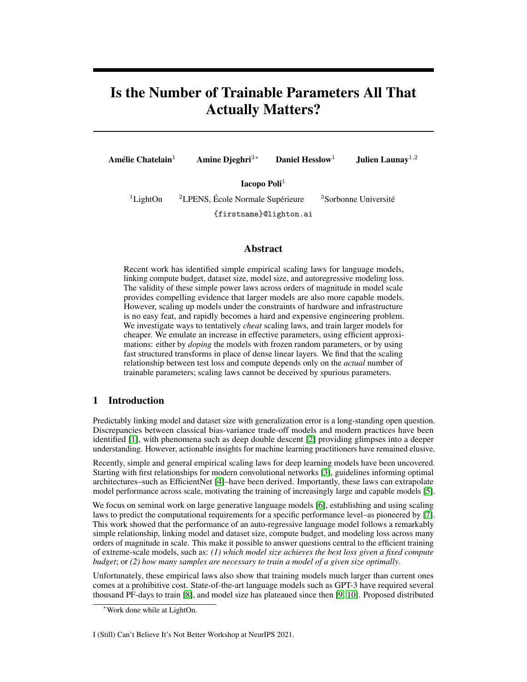# Is the Number of Trainable Parameters All That Actually Matters?

Amélie Chatelain<sup>1</sup> Amine Djeghri<sup>3∗</sup> Daniel Hesslow<sup>1</sup> Julien Launay<sup>1,2</sup>

Iacopo Poli<sup>1</sup>

<sup>1</sup>LightOn <sup>2</sup>LPENS, École Normale Supérieure <sup>3</sup>Sorbonne Université {firstname}@lighton.ai

## Abstract

Recent work has identified simple empirical scaling laws for language models, linking compute budget, dataset size, model size, and autoregressive modeling loss. The validity of these simple power laws across orders of magnitude in model scale provides compelling evidence that larger models are also more capable models. However, scaling up models under the constraints of hardware and infrastructure is no easy feat, and rapidly becomes a hard and expensive engineering problem. We investigate ways to tentatively *cheat* scaling laws, and train larger models for cheaper. We emulate an increase in effective parameters, using efficient approximations: either by *doping* the models with frozen random parameters, or by using fast structured transforms in place of dense linear layers. We find that the scaling relationship between test loss and compute depends only on the *actual* number of trainable parameters; scaling laws cannot be deceived by spurious parameters.

# 1 Introduction

Predictably linking model and dataset size with generalization error is a long-standing open question. Discrepancies between classical bias-variance trade-off models and modern practices have been identified [\[1\]](#page-4-0), with phenomena such as deep double descent [\[2\]](#page-4-1) providing glimpses into a deeper understanding. However, actionable insights for machine learning practitioners have remained elusive.

Recently, simple and general empirical scaling laws for deep learning models have been uncovered. Starting with first relationships for modern convolutional networks [\[3\]](#page-4-2), guidelines informing optimal architectures–such as EfficientNet [\[4\]](#page-4-3)–have been derived. Importantly, these laws can extrapolate model performance across scale, motivating the training of increasingly large and capable models [\[5\]](#page-4-4).

We focus on seminal work on large generative language models [\[6\]](#page-4-5), establishing and using scaling laws to predict the computational requirements for a specific performance level–as pioneered by [\[7\]](#page-4-6). This work showed that the performance of an auto-regressive language model follows a remarkably simple relationship, linking model and dataset size, compute budget, and modeling loss across many orders of magnitude in scale. This make it possible to answer questions central to the efficient training of extreme-scale models, such as: *(1) which model size achieves the best loss given a fixed compute budget*; or *(2) how many samples are necessary to train a model of a given size optimally*.

Unfortunately, these empirical laws also show that training models much larger than current ones comes at a prohibitive cost. State-of-the-art language models such as GPT-3 have required several thousand PF-days to train [\[8\]](#page-4-7), and model size has plateaued since then [\[9,](#page-5-0) [10\]](#page-5-1). Proposed distributed

I (Still) Can't Believe It's Not Better Workshop at NeurIPS 2021.

<sup>∗</sup>Work done while at LightOn.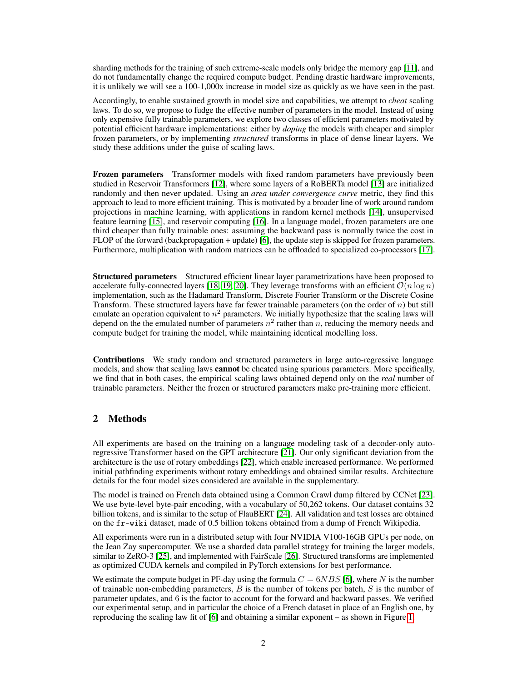sharding methods for the training of such extreme-scale models only bridge the memory gap [\[11\]](#page-5-2), and do not fundamentally change the required compute budget. Pending drastic hardware improvements, it is unlikely we will see a 100-1,000x increase in model size as quickly as we have seen in the past.

Accordingly, to enable sustained growth in model size and capabilities, we attempt to *cheat* scaling laws. To do so, we propose to fudge the effective number of parameters in the model. Instead of using only expensive fully trainable parameters, we explore two classes of efficient parameters motivated by potential efficient hardware implementations: either by *doping* the models with cheaper and simpler frozen parameters, or by implementing *structured* transforms in place of dense linear layers. We study these additions under the guise of scaling laws.

Frozen parameters Transformer models with fixed random parameters have previously been studied in Reservoir Transformers [\[12\]](#page-5-3), where some layers of a RoBERTa model [\[13\]](#page-5-4) are initialized randomly and then never updated. Using an *area under convergence curve* metric, they find this approach to lead to more efficient training. This is motivated by a broader line of work around random projections in machine learning, with applications in random kernel methods [\[14\]](#page-5-5), unsupervised feature learning [\[15\]](#page-5-6), and reservoir computing [\[16\]](#page-5-7). In a language model, frozen parameters are one third cheaper than fully trainable ones: assuming the backward pass is normally twice the cost in FLOP of the forward (backpropagation + update) [\[6\]](#page-4-5), the update step is skipped for frozen parameters. Furthermore, multiplication with random matrices can be offloaded to specialized co-processors [\[17\]](#page-5-8).

Structured parameters Structured efficient linear layer parametrizations have been proposed to accelerate fully-connected layers [\[18,](#page-5-9) [19,](#page-5-10) [20\]](#page-5-11). They leverage transforms with an efficient  $\mathcal{O}(n \log n)$ implementation, such as the Hadamard Transform, Discrete Fourier Transform or the Discrete Cosine Transform. These structured layers have far fewer trainable parameters (on the order of  $n$ ) but still emulate an operation equivalent to  $n^2$  parameters. We initially hypothesize that the scaling laws will depend on the the emulated number of parameters  $n^2$  rather than n, reducing the memory needs and compute budget for training the model, while maintaining identical modelling loss.

Contributions We study random and structured parameters in large auto-regressive language models, and show that scaling laws **cannot** be cheated using spurious parameters. More specifically, we find that in both cases, the empirical scaling laws obtained depend only on the *real* number of trainable parameters. Neither the frozen or structured parameters make pre-training more efficient.

# 2 Methods

All experiments are based on the training on a language modeling task of a decoder-only autoregressive Transformer based on the GPT architecture [\[21\]](#page-5-12). Our only significant deviation from the architecture is the use of rotary embeddings [\[22\]](#page-5-13), which enable increased performance. We performed initial pathfinding experiments without rotary embeddings and obtained similar results. Architecture details for the four model sizes considered are available in the supplementary.

The model is trained on French data obtained using a Common Crawl dump filtered by CCNet [\[23\]](#page-5-14). We use byte-level byte-pair encoding, with a vocabulary of 50,262 tokens. Our dataset contains 32 billion tokens, and is similar to the setup of FlauBERT [\[24\]](#page-5-15). All validation and test losses are obtained on the fr-wiki dataset, made of 0.5 billion tokens obtained from a dump of French Wikipedia.

All experiments were run in a distributed setup with four NVIDIA V100-16GB GPUs per node, on the Jean Zay supercomputer. We use a sharded data parallel strategy for training the larger models, similar to ZeRO-3 [\[25\]](#page-5-16), and implemented with FairScale [\[26\]](#page-5-17). Structured transforms are implemented as optimized CUDA kernels and compiled in PyTorch extensions for best performance.

We estimate the compute budget in PF-day using the formula  $C = 6NBS$  [\[6\]](#page-4-5), where N is the number of trainable non-embedding parameters,  $B$  is the number of tokens per batch,  $S$  is the number of parameter updates, and 6 is the factor to account for the forward and backward passes. We verified our experimental setup, and in particular the choice of a French dataset in place of an English one, by reproducing the scaling law fit of [\[6\]](#page-4-5) and obtaining a similar exponent – as shown in Figure [1.](#page-2-0)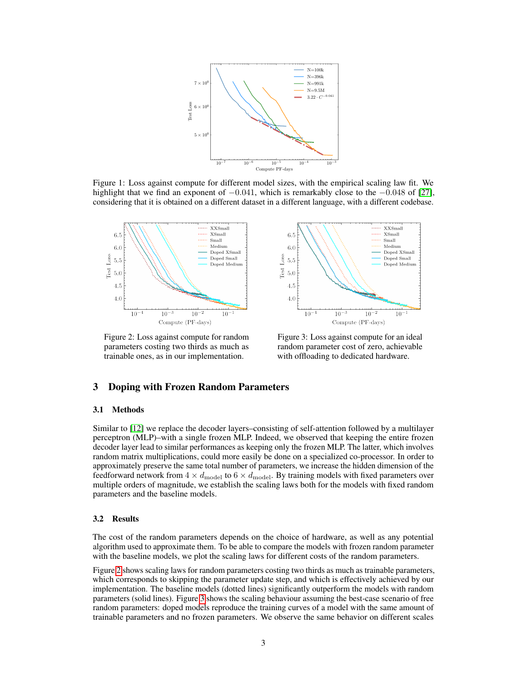<span id="page-2-0"></span>

Figure 1: Loss against compute for different model sizes, with the empirical scaling law fit. We highlight that we find an exponent of  $-0.041$ , which is remarkably close to the  $-0.048$  of [\[27\]](#page-5-18), considering that it is obtained on a different dataset in a different language, with a different codebase.

<span id="page-2-1"></span>

Figure 2: Loss against compute for random parameters costing two thirds as much as trainable ones, as in our implementation.

Figure 3: Loss against compute for an ideal random parameter cost of zero, achievable with offloading to dedicated hardware.

XXSmall

 $XSmall$ 

Medium

Doped XSmall

Doped Mediun

 $10^{-1}$ 

 $\operatorname{Doped}$  Small

Small

### 3 Doping with Frozen Random Parameters

#### 3.1 Methods

Similar to [\[12\]](#page-5-3) we replace the decoder layers–consisting of self-attention followed by a multilayer perceptron (MLP)–with a single frozen MLP. Indeed, we observed that keeping the entire frozen decoder layer lead to similar performances as keeping only the frozen MLP. The latter, which involves random matrix multiplications, could more easily be done on a specialized co-processor. In order to approximately preserve the same total number of parameters, we increase the hidden dimension of the feedforward network from  $4 \times d_{\text{model}}$  to  $6 \times d_{\text{model}}$ . By training models with fixed parameters over multiple orders of magnitude, we establish the scaling laws both for the models with fixed random parameters and the baseline models.

#### 3.2 Results

The cost of the random parameters depends on the choice of hardware, as well as any potential algorithm used to approximate them. To be able to compare the models with frozen random parameter with the baseline models, we plot the scaling laws for different costs of the random parameters.

Figure [2](#page-2-1) shows scaling laws for random parameters costing two thirds as much as trainable parameters, which corresponds to skipping the parameter update step, and which is effectively achieved by our implementation. The baseline models (dotted lines) significantly outperform the models with random parameters (solid lines). Figure [3](#page-2-1) shows the scaling behaviour assuming the best-case scenario of free random parameters: doped models reproduce the training curves of a model with the same amount of trainable parameters and no frozen parameters. We observe the same behavior on different scales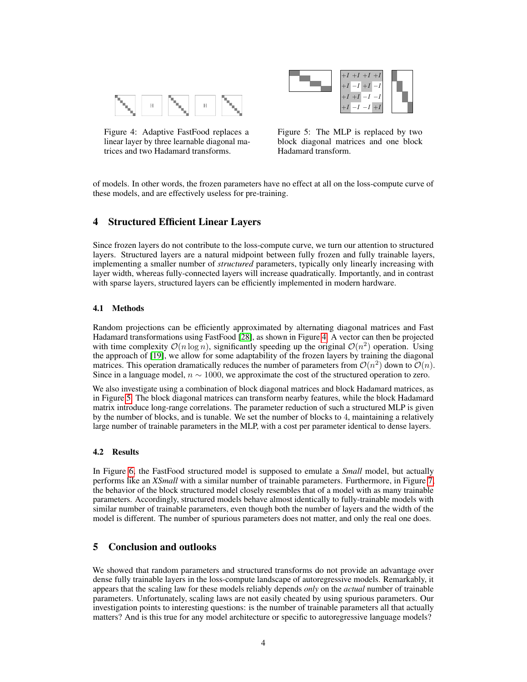<span id="page-3-0"></span>

Figure 4: Adaptive FastFood replaces a linear layer by three learnable diagonal matrices and two Hadamard transforms.



Figure 5: The MLP is replaced by two block diagonal matrices and one block Hadamard transform.

of models. In other words, the frozen parameters have no effect at all on the loss-compute curve of these models, and are effectively useless for pre-training.

# 4 Structured Efficient Linear Layers

Since frozen layers do not contribute to the loss-compute curve, we turn our attention to structured layers. Structured layers are a natural midpoint between fully frozen and fully trainable layers, implementing a smaller number of *structured* parameters, typically only linearly increasing with layer width, whereas fully-connected layers will increase quadratically. Importantly, and in contrast with sparse layers, structured layers can be efficiently implemented in modern hardware.

### 4.1 Methods

Random projections can be efficiently approximated by alternating diagonal matrices and Fast Hadamard transformations using FastFood [\[28\]](#page-5-19), as shown in Figure [4.](#page-3-0) A vector can then be projected with time complexity  $\mathcal{O}(n \log n)$ , significantly speeding up the original  $\mathcal{O}(n^2)$  operation. Using the approach of [\[19\]](#page-5-10), we allow for some adaptability of the frozen layers by training the diagonal matrices. This operation dramatically reduces the number of parameters from  $\mathcal{O}(n^2)$  down to  $\mathcal{O}(n)$ . Since in a language model,  $n \sim 1000$ , we approximate the cost of the structured operation to zero.

We also investigate using a combination of block diagonal matrices and block Hadamard matrices, as in Figure [5.](#page-3-0) The block diagonal matrices can transform nearby features, while the block Hadamard matrix introduce long-range correlations. The parameter reduction of such a structured MLP is given by the number of blocks, and is tunable. We set the number of blocks to 4, maintaining a relatively large number of trainable parameters in the MLP, with a cost per parameter identical to dense layers.

#### 4.2 Results

In Figure [6,](#page-4-8) the FastFood structured model is supposed to emulate a *Small* model, but actually performs like an *XSmall* with a similar number of trainable parameters. Furthermore, in Figure [7,](#page-4-8) the behavior of the block structured model closely resembles that of a model with as many trainable parameters. Accordingly, structured models behave almost identically to fully-trainable models with similar number of trainable parameters, even though both the number of layers and the width of the model is different. The number of spurious parameters does not matter, and only the real one does.

# 5 Conclusion and outlooks

We showed that random parameters and structured transforms do not provide an advantage over dense fully trainable layers in the loss-compute landscape of autoregressive models. Remarkably, it appears that the scaling law for these models reliably depends *only* on the *actual* number of trainable parameters. Unfortunately, scaling laws are not easily cheated by using spurious parameters. Our investigation points to interesting questions: is the number of trainable parameters all that actually matters? And is this true for any model architecture or specific to autoregressive language models?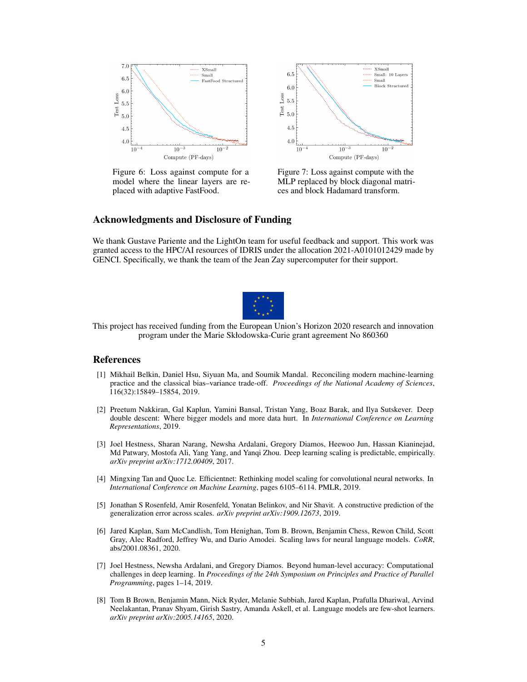<span id="page-4-8"></span>

Figure 6: Loss against compute for a model where the linear layers are replaced with adaptive FastFood.



Figure 7: Loss against compute with the MLP replaced by block diagonal matrices and block Hadamard transform.

## Acknowledgments and Disclosure of Funding

We thank Gustave Pariente and the LightOn team for useful feedback and support. This work was granted access to the HPC/AI resources of IDRIS under the allocation 2021-A0101012429 made by GENCI. Specifically, we thank the team of the Jean Zay supercomputer for their support.



This project has received funding from the European Union's Horizon 2020 research and innovation program under the Marie Skłodowska-Curie grant agreement No 860360

## References

- <span id="page-4-0"></span>[1] Mikhail Belkin, Daniel Hsu, Siyuan Ma, and Soumik Mandal. Reconciling modern machine-learning practice and the classical bias–variance trade-off. *Proceedings of the National Academy of Sciences*, 116(32):15849–15854, 2019.
- <span id="page-4-1"></span>[2] Preetum Nakkiran, Gal Kaplun, Yamini Bansal, Tristan Yang, Boaz Barak, and Ilya Sutskever. Deep double descent: Where bigger models and more data hurt. In *International Conference on Learning Representations*, 2019.
- <span id="page-4-2"></span>[3] Joel Hestness, Sharan Narang, Newsha Ardalani, Gregory Diamos, Heewoo Jun, Hassan Kianinejad, Md Patwary, Mostofa Ali, Yang Yang, and Yanqi Zhou. Deep learning scaling is predictable, empirically. *arXiv preprint arXiv:1712.00409*, 2017.
- <span id="page-4-3"></span>[4] Mingxing Tan and Quoc Le. Efficientnet: Rethinking model scaling for convolutional neural networks. In *International Conference on Machine Learning*, pages 6105–6114. PMLR, 2019.
- <span id="page-4-4"></span>[5] Jonathan S Rosenfeld, Amir Rosenfeld, Yonatan Belinkov, and Nir Shavit. A constructive prediction of the generalization error across scales. *arXiv preprint arXiv:1909.12673*, 2019.
- <span id="page-4-5"></span>[6] Jared Kaplan, Sam McCandlish, Tom Henighan, Tom B. Brown, Benjamin Chess, Rewon Child, Scott Gray, Alec Radford, Jeffrey Wu, and Dario Amodei. Scaling laws for neural language models. *CoRR*, abs/2001.08361, 2020.
- <span id="page-4-6"></span>[7] Joel Hestness, Newsha Ardalani, and Gregory Diamos. Beyond human-level accuracy: Computational challenges in deep learning. In *Proceedings of the 24th Symposium on Principles and Practice of Parallel Programming*, pages 1–14, 2019.
- <span id="page-4-7"></span>[8] Tom B Brown, Benjamin Mann, Nick Ryder, Melanie Subbiah, Jared Kaplan, Prafulla Dhariwal, Arvind Neelakantan, Pranav Shyam, Girish Sastry, Amanda Askell, et al. Language models are few-shot learners. *arXiv preprint arXiv:2005.14165*, 2020.